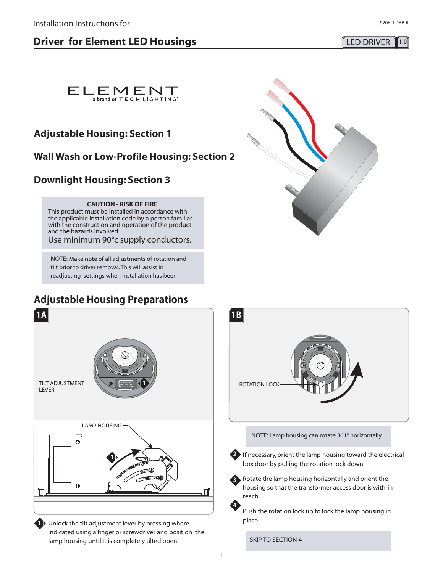# **Driver for Element LED Housings LED LED** DRIVER 1.0



# **Adjustable Housing: Section 1**

# **Wall Wash or Low-Profile Housing: Section 2**

# **Downlight Housing: Section 3**

### **CAUTION - RISK OF FIRE**

This product must be installed in accordance with the applicable installation code by a person familiar with the construction and operation of the product and the hazards involved.

Use minimum 90°c supply conductors.

NOTE: Make note of all adjustments of rotation and tilt prior to driver removal.This will assist in readjusting settings when installation has been

# **Adjustable Housing Preparations**



**1** Unlock the tilt adjustment lever by pressing where indicated using a finger or screwdriver and position the lamp housing until it is completely tilted open.





NOTE: Lamp housing can rotate 361° horizontally.

**2** If necessary, orient the lamp housing toward the electrical box door by pulling the rotation lock down.

**3** Rotate the lamp housing horizontally and orient the housing so that the transformer access door is with-in reach.

Push the rotation lock up to lock the lamp housing in place.

SKIP TO SECTION 4

**4**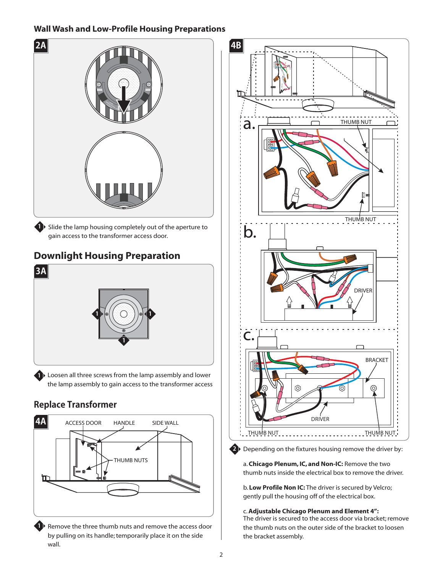## **Wall Wash and Low-Profile Housing Preparations**



# **Downlight Housing Preparation**



**1** Loosen all three screws from the lamp assembly and lower the lamp assembly to gain access to the transformer access

# **Replace Transformer**



**1** Remove the three thumb nuts and remove the access door by pulling on its handle; temporarily place it on the side wall.





**2** Depending on the fixtures housing remove the driver by:

a. Chicago Plenum, IC, and Non-IC: Remove the two thumb nuts inside the electrical box to remove the driver.

b. Low Profile Non IC: The driver is secured by Velcro; gently pull the housing off of the electrical box.

c.**Adjustable Chicago Plenum and Element 4":** The driver is secured to the access door via bracket; remove the thumb nuts on the outer side of the bracket to loosen the bracket assembly.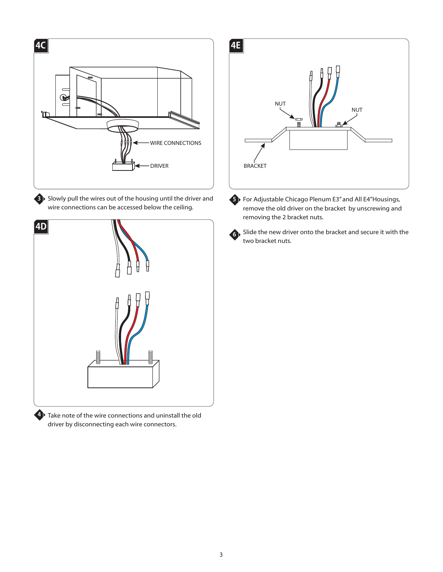

**3** Slowly pull the wires out of the housing until the driver and wire connections can be accessed below the ceiling.



driver by disconnecting each wire connectors.



**5** For Adjustable Chicago Plenum E3" and All E4"Housings, remove the old driver on the bracket by unscrewing and removing the 2 bracket nuts.



**6** Slide the new driver onto the bracket and secure it with the two bracket nuts.